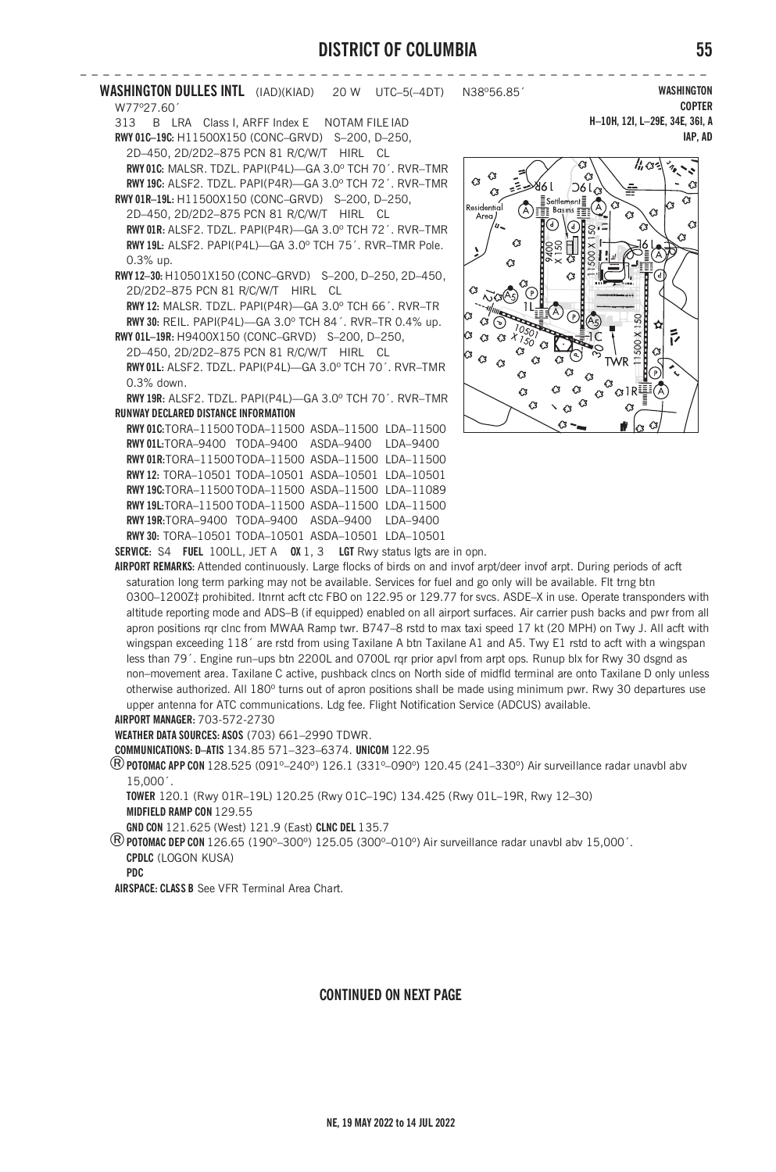**– – – – – – – – – – – – – – – – – – – – – – – – – – – – – – – – – – – – – – – – – – – – – – – – – – – – – – – WASHINGTON DULLES INTL** (IAD)(KIAD) 20 W UTC–5(–4DT) N38º56.85´ W77º27.60´ 313 B LRA Class I, ARFF Index E NOTAM FILE IAD **RWY 01C–19C:** H11500X150 (CONC–GRVD) S–200, D–250, 2D–450, 2D/2D2–875 PCN 81 R/C/W/T HIRL CL

**RWY 01C:** MALSR. TDZL. PAPI(P4L)—GA 3.0º TCH 70´. RVR–TMR **RWY 19C:** ALSF2. TDZL. PAPI(P4R)—GA 3.0º TCH 72´. RVR–TMR **RWY 01R–19L:** H11500X150 (CONC–GRVD) S–200, D–250, 2D–450, 2D/2D2–875 PCN 81 R/C/W/T HIRL CL **RWY 01R:** ALSF2. TDZL. PAPI(P4R)—GA 3.0º TCH 72´. RVR–TMR **RWY 19L:** ALSF2. PAPI(P4L)—GA 3.0º TCH 75´. RVR–TMR Pole. 0.3% up.

**RWY 12–30:** H10501X150 (CONC–GRVD) S–200, D–250, 2D–450, 2D/2D2–875 PCN 81 R/C/W/T HIRL CL **RWY 12:** MALSR. TDZL. PAPI(P4R)—GA 3.0º TCH 66´. RVR–TR

**RWY 30:** REIL. PAPI(P4L)—GA 3.0º TCH 84´. RVR–TR 0.4% up. **RWY 01L–19R:** H9400X150 (CONC–GRVD) S–200, D–250,

2D–450, 2D/2D2–875 PCN 81 R/C/W/T HIRL CL **RWY 01L:** ALSF2. TDZL. PAPI(P4L)—GA 3.0º TCH 70´. RVR–TMR 0.3% down.

**RWY 19R:** ALSF2. TDZL. PAPI(P4L)—GA 3.0º TCH 70´. RVR–TMR **RUNWAY DECLARED DISTANCE INFORMATION**

**RWY 01C:**TORA–11500 TODA–11500 ASDA–11500 LDA–11500 **RWY 01L:**TORA–9400 TODA–9400 ASDA–9400 LDA–9400 **RWY 01R:**TORA–11500TODA–11500 ASDA–11500 LDA–11500 **RWY 12:** TORA–10501 TODA–10501 ASDA–10501 LDA–10501 **RWY 19C:**TORA–11500 TODA–11500 ASDA–11500 LDA–11089 **RWY 19L:**TORA–11500 TODA–11500 ASDA–11500 LDA–11500 **RWY 19R:**TORA–9400 TODA–9400 ASDA–9400 LDA–9400 **RWY 30:** TORA–10501 TODA–10501 ASDA–10501 LDA–10501

**WASHINGTON COPTER H–10H, 12I, L–29E, 34E, 36I, A IAP, AD**



**SERVICE:** S4 **FUEL** 100LL, JET A **OX** 1, 3 **LGT** Rwy status lgts are in opn.

**AIRPORT REMARKS:** Attended continuously. Large flocks of birds on and invof arpt/deer invof arpt. During periods of acft saturation long term parking may not be available. Services for fuel and go only will be available. Flt trng btn 0300–1200Z‡ prohibited. Itnrnt acft ctc FBO on 122.95 or 129.77 for svcs. ASDE–X in use. Operate transponders with altitude reporting mode and ADS–B (if equipped) enabled on all airport surfaces. Air carrier push backs and pwr from all apron positions rqr clnc from MWAA Ramp twr. B747–8 rstd to max taxi speed 17 kt (20 MPH) on Twy J. All acft with wingspan exceeding 118<sup>'</sup> are rstd from using Taxilane A btn Taxilane A1 and A5. Twy E1 rstd to acft with a wingspan less than 79´. Engine run–ups btn 2200L and 0700L rqr prior apvl from arpt ops. Runup blx for Rwy 30 dsgnd as non–movement area. Taxilane C active, pushback clncs on North side of midfld terminal are onto Taxilane D only unless otherwise authorized. All 180º turns out of apron positions shall be made using minimum pwr. Rwy 30 departures use upper antenna for ATC communications. Ldg fee. Flight Notification Service (ADCUS) available. **AIRPORT MANAGER:** 703-572-2730

**WEATHER DATA SOURCES: ASOS** (703) 661–2990 TDWR.

**COMMUNICATIONS: D–ATIS** 134.85 571–323–6374. **UNICOM** 122.95

®**POTOMAC APP CON** 128.525 (091º–240º) 126.1 (331º–090º) 120.45 (241–330º) Air surveillance radar unavbl abv 15,000´.

**TOWER** 120.1 (Rwy 01R–19L) 120.25 (Rwy 01C–19C) 134.425 (Rwy 01L–19R, Rwy 12–30) **MIDFIELD RAMP CON** 129.55

**GND CON** 121.625 (West) 121.9 (East) **CLNC DEL** 135.7

®**POTOMAC DEP CON** 126.65 (190º–300º) 125.05 (300º–010º) Air surveillance radar unavbl abv 15,000´. **CPDLC** (LOGON KUSA)

**PDC**

**AIRSPACE: CLASS B** See VFR Terminal Area Chart.

## **CONTINUED ON NEXT PAGE**